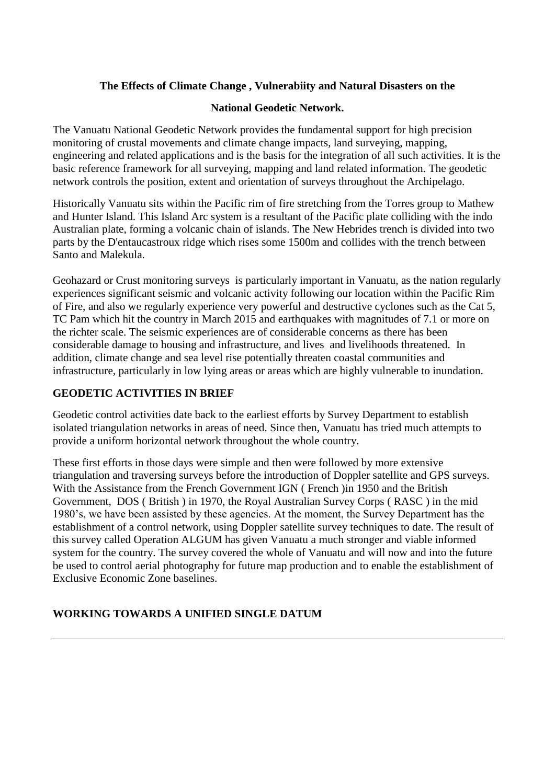# **The Effects of Climate Change , Vulnerabiity and Natural Disasters on the**

### **National Geodetic Network.**

The Vanuatu National Geodetic Network provides the fundamental support for high precision monitoring of crustal movements and climate change impacts, land surveying, mapping, engineering and related applications and is the basis for the integration of all such activities. It is the basic reference framework for all surveying, mapping and land related information. The geodetic network controls the position, extent and orientation of surveys throughout the Archipelago.

Historically Vanuatu sits within the Pacific rim of fire stretching from the Torres group to Mathew and Hunter Island. This Island Arc system is a resultant of the Pacific plate colliding with the indo Australian plate, forming a volcanic chain of islands. The New Hebrides trench is divided into two parts by the D'entaucastroux ridge which rises some 1500m and collides with the trench between Santo and Malekula.

Geohazard or Crust monitoring surveys is particularly important in Vanuatu, as the nation regularly experiences significant seismic and volcanic activity following our location within the Pacific Rim of Fire, and also we regularly experience very powerful and destructive cyclones such as the Cat 5, TC Pam which hit the country in March 2015 and earthquakes with magnitudes of 7.1 or more on the richter scale. The seismic experiences are of considerable concerns as there has been considerable damage to housing and infrastructure, and lives and livelihoods threatened. In addition, climate change and sea level rise potentially threaten coastal communities and infrastructure, particularly in low lying areas or areas which are highly vulnerable to inundation.

## **GEODETIC ACTIVITIES IN BRIEF**

Geodetic control activities date back to the earliest efforts by Survey Department to establish isolated triangulation networks in areas of need. Since then, Vanuatu has tried much attempts to provide a uniform horizontal network throughout the whole country.

These first efforts in those days were simple and then were followed by more extensive triangulation and traversing surveys before the introduction of Doppler satellite and GPS surveys. With the Assistance from the French Government IGN ( French )in 1950 and the British Government, DOS ( British ) in 1970, the Royal Australian Survey Corps ( RASC ) in the mid 1980's, we have been assisted by these agencies. At the moment, the Survey Department has the establishment of a control network, using Doppler satellite survey techniques to date. The result of this survey called Operation ALGUM has given Vanuatu a much stronger and viable informed system for the country. The survey covered the whole of Vanuatu and will now and into the future be used to control aerial photography for future map production and to enable the establishment of Exclusive Economic Zone baselines.

## **WORKING TOWARDS A UNIFIED SINGLE DATUM**